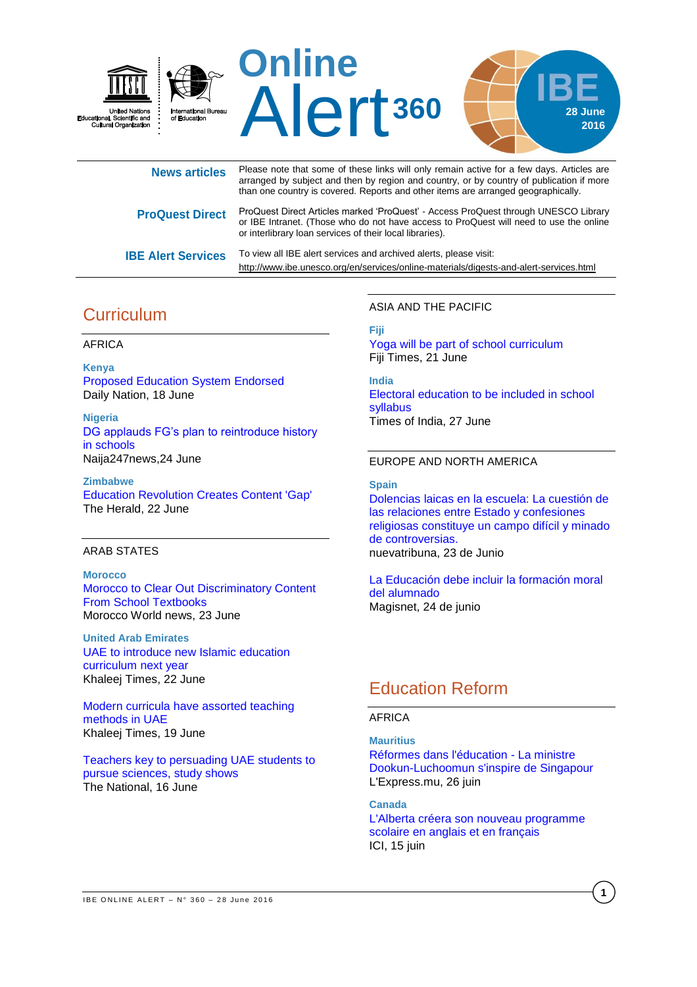

| <b>News articles</b>      | Please note that some of these links will only remain active for a few days. Articles are<br>arranged by subject and then by region and country, or by country of publication if more<br>than one country is covered. Reports and other items are arranged geographically. |
|---------------------------|----------------------------------------------------------------------------------------------------------------------------------------------------------------------------------------------------------------------------------------------------------------------------|
| <b>ProQuest Direct</b>    | ProQuest Direct Articles marked 'ProQuest' - Access ProQuest through UNESCO Library<br>or IBE Intranet. (Those who do not have access to ProQuest will need to use the online<br>or interlibrary loan services of their local libraries).                                  |
| <b>IBE Alert Services</b> | To view all IBE alert services and archived alerts, please visit:<br>http://www.ibe.unesco.org/en/services/online-materials/digests-and-alert-services.html                                                                                                                |

# **Curriculum**

#### AFRICA

**Kenya** [Proposed Education System Endorsed](http://allafrica.com/stories/201606201277.html) Daily Nation, 18 June

**Nigeria** [DG applauds FG's plan to reintroduce history](http://naija247news.com/2016/06/dg-applauds-fgs-plan-to-reintroduce-history-in-schools/)  [in schools](http://naija247news.com/2016/06/dg-applauds-fgs-plan-to-reintroduce-history-in-schools/) Naija247news,24 June

**Zimbabwe** [Education Revolution Creates Content 'Gap'](http://allafrica.com/stories/201606220183.html) The Herald, 22 June

#### ARAB STATES

**Morocco** [Morocco to Clear Out Discriminatory Content](http://www.moroccoworldnews.com/2016/06/189641/morocco-to-clear-out-discriminatory-content-from-school-textbooks/)  [From School Textbooks](http://www.moroccoworldnews.com/2016/06/189641/morocco-to-clear-out-discriminatory-content-from-school-textbooks/) Morocco World news, 23 June

**United Arab Emirates** [UAE to introduce new Islamic education](http://www.khaleejtimes.com/nation/education/uae-to-introduce-new-islamic-education-curriculum-next-year)  [curriculum next year](http://www.khaleejtimes.com/nation/education/uae-to-introduce-new-islamic-education-curriculum-next-year) Khaleej Times, 22 June

[Modern curricula have assorted teaching](http://www.khaleejtimes.com/nation/education/modern-curricula-have-assorted-teaching-methods-in-uae)  [methods in UAE](http://www.khaleejtimes.com/nation/education/modern-curricula-have-assorted-teaching-methods-in-uae) Khaleej Times, 19 June

[Teachers key to persuading UAE students to](http://www.thenational.ae/uae/teachers-key-to-persuading-uae-students-to-pursue-sciences-study-shows)  [pursue sciences, study shows](http://www.thenational.ae/uae/teachers-key-to-persuading-uae-students-to-pursue-sciences-study-shows) The National, 16 June

ASIA AND THE PACIFIC

**Fiji**

Yoga will be part [of school curriculum](http://www.fijitimes.com/story.aspx?id=359052) Fiji Times, 21 June

**India** [Electoral education to be included in school](http://timesofindia.indiatimes.com/city/hyderabad/Electoral-education-to-be-included-in-school-syllabus/articleshow/52931219.cms)  [syllabus](http://timesofindia.indiatimes.com/city/hyderabad/Electoral-education-to-be-included-in-school-syllabus/articleshow/52931219.cms) Times of India, 27 June

### EUROPE AND NORTH AMERICA

**Spain**

[Dolencias laicas en la escuela: La cuestión de](http://www.nuevatribuna.es/articulo/sociedad/dolencias-laicas-escuela/20160623154936129554.html)  [las relaciones entre Estado y confesiones](http://www.nuevatribuna.es/articulo/sociedad/dolencias-laicas-escuela/20160623154936129554.html)  [religiosas constituye un campo difícil y minado](http://www.nuevatribuna.es/articulo/sociedad/dolencias-laicas-escuela/20160623154936129554.html)  [de controversias.](http://www.nuevatribuna.es/articulo/sociedad/dolencias-laicas-escuela/20160623154936129554.html) nuevatribuna, 23 de Junio

[La Educación debe incluir la formación moral](http://www.magisnet.com/noticia/23537/en-abierto/victoria-camps:-la-educacion-debe-incluir-la-formacion-moral-del-alumnado.html)  [del alumnado](http://www.magisnet.com/noticia/23537/en-abierto/victoria-camps:-la-educacion-debe-incluir-la-formacion-moral-del-alumnado.html) Magisnet, 24 de junio

# Education Reform

#### AFRICA

**Mauritius**

[Réformes dans l'éducation -](http://fr.allafrica.com/stories/201606260156.html) La ministre [Dookun-Luchoomun s'inspire de Singapour](http://fr.allafrica.com/stories/201606260156.html) L'Express.mu, 26 juin

**Canada**

[L'Alberta créera son nouveau programme](http://ici.radio-canada.ca/regions/alberta/2016/06/15/003-systeme-education-alberta-francophone-etudes.shtml)  [scolaire en anglais et en français](http://ici.radio-canada.ca/regions/alberta/2016/06/15/003-systeme-education-alberta-francophone-etudes.shtml) ICI, 15 juin

**1**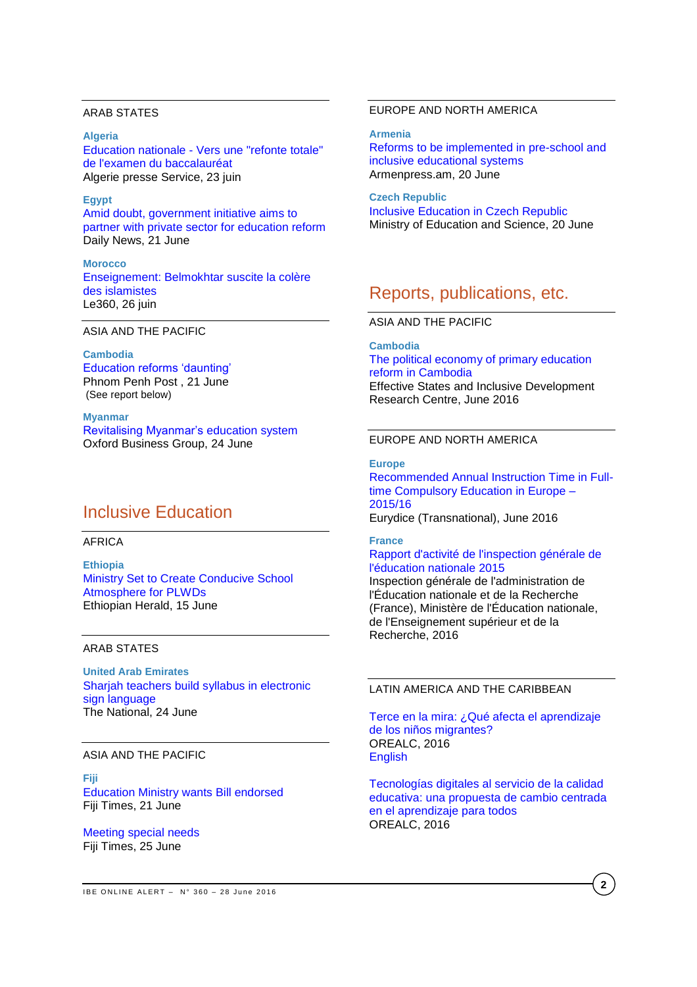#### ARAB STATES

**Algeria** Education nationale - [Vers une "refonte totale"](http://fr.allafrica.com/stories/201606240187.html)  [de l'examen du baccalauréat](http://fr.allafrica.com/stories/201606240187.html) Algerie presse Service, 23 juin

### **Egypt**

[Amid doubt, government initiative aims to](http://www.dailynewsegypt.com/2016/06/21/amid-doubt-government-initiative-aims-partner-private-sector-education-reform/)  [partner with private sector for education reform](http://www.dailynewsegypt.com/2016/06/21/amid-doubt-government-initiative-aims-partner-private-sector-education-reform/) Daily News, 21 June

**Morocco** [Enseignement: Belmokhtar suscite la colère](http://fr.le360.ma/politique/enseignement-belmokhtar-suscite-la-colere-des-islamistes-77364)  [des islamistes](http://fr.le360.ma/politique/enseignement-belmokhtar-suscite-la-colere-des-islamistes-77364) Le360, 26 juin

ASIA AND THE PACIFIC

**Cambodia** [Education reforms 'daunting'](http://www.phnompenhpost.com/national/education-reforms-daunting) Phnom Penh Post , 21 June (See report below)

**Myanmar** [Revitalising Myanmar's education system](http://www.oxfordbusinessgroup.com/news/revitalising-myanmar%E2%80%99s-education-system) Oxford Business Group, 24 June

## Inclusive Education

#### AFRICA

**Ethiopia** Ministry Set to [Create Conducive School](http://allafrica.com/stories/201606160063.html)  [Atmosphere for PLWDs](http://allafrica.com/stories/201606160063.html) Ethiopian Herald, 15 June

#### ARAB STATES

**United Arab Emirates** [Sharjah teachers build syllabus in electronic](http://www.thenational.ae/uae/education/sharjah-teachers-build-syllabus-in-electronic-sign-language)  [sign language](http://www.thenational.ae/uae/education/sharjah-teachers-build-syllabus-in-electronic-sign-language) The National, 24 June

### ASIA AND THE PACIFIC

**Fiji** [Education Ministry wants Bill endorsed](http://www.fijitimes.com/story.aspx?id=359054) Fiji Times, 21 June

[Meeting special needs](http://www.fijitimes.com/story.aspx?id=359659) Fiji Times, 25 June

### EUROPE AND NORTH AMERICA

**Armenia**

[Reforms to be implemented in pre-school and](https://armenpress.am/eng/news/851451/reforms-to-be-implemented-in-pre-school-and-inclusive-educational-systems.html)  [inclusive educational systems](https://armenpress.am/eng/news/851451/reforms-to-be-implemented-in-pre-school-and-inclusive-educational-systems.html) Armenpress.am, 20 June

**Czech Republic**  [Inclusive Education in Czech Republic](http://www.mes.gov.ge/content.php?id=6533&lang=eng) Ministry of Education and Science, 20 June

## Reports, publications, etc.

ASIA AND THE PACIFIC

**Cambodia**

[The political economy of primary education](http://www.effective-states.org/wp-content/uploads/working_papers/final-pdfs/esid_wp_58_kelsall_khieng_chantha_muy.pdf)  [reform in Cambodia](http://www.effective-states.org/wp-content/uploads/working_papers/final-pdfs/esid_wp_58_kelsall_khieng_chantha_muy.pdf) Effective States and Inclusive Development Research Centre, June 2016

#### EUROPE AND NORTH AMERICA

**Europe** [Recommended Annual Instruction Time in Full](https://webgate.ec.europa.eu/fpfis/mwikis/eurydice/images/0/0f/197_EN_IT_2016.pdf)[time Compulsory Education in Europe –](https://webgate.ec.europa.eu/fpfis/mwikis/eurydice/images/0/0f/197_EN_IT_2016.pdf) [2015/16](https://webgate.ec.europa.eu/fpfis/mwikis/eurydice/images/0/0f/197_EN_IT_2016.pdf) Eurydice (Transnational), June 2016

#### **France**

#### [Rapport d'activité de l'inspection générale de](http://www.ladocumentationfrancaise.fr/var/storage/rapports-publics/164000348.pdf)  [l'éducation nationale 2015](http://www.ladocumentationfrancaise.fr/var/storage/rapports-publics/164000348.pdf)

Inspection générale de l'administration de l'Éducation nationale et de la Recherche (France), Ministère de l'Éducation nationale, de l'Enseignement supérieur et de la Recherche, 2016

### LATIN AMERICA AND THE CARIBBEAN

[Terce en la mira: ¿Qué afecta el aprendizaje](http://unesdoc.unesco.org/images/0024/002450/245060s.pdf)  [de los niños migrantes?](http://unesdoc.unesco.org/images/0024/002450/245060s.pdf) OREALC, 2016 **[English](http://unesdoc.unesco.org/images/0024/002450/245060e.pdf)** 

[Tecnologías digitales al servicio de la calidad](http://unesdoc.unesco.org/images/0024/002451/245115s.pdf)  [educativa: una propuesta de cambio centrada](http://unesdoc.unesco.org/images/0024/002451/245115s.pdf)  [en el aprendizaje para todos](http://unesdoc.unesco.org/images/0024/002451/245115s.pdf) OREALC, 2016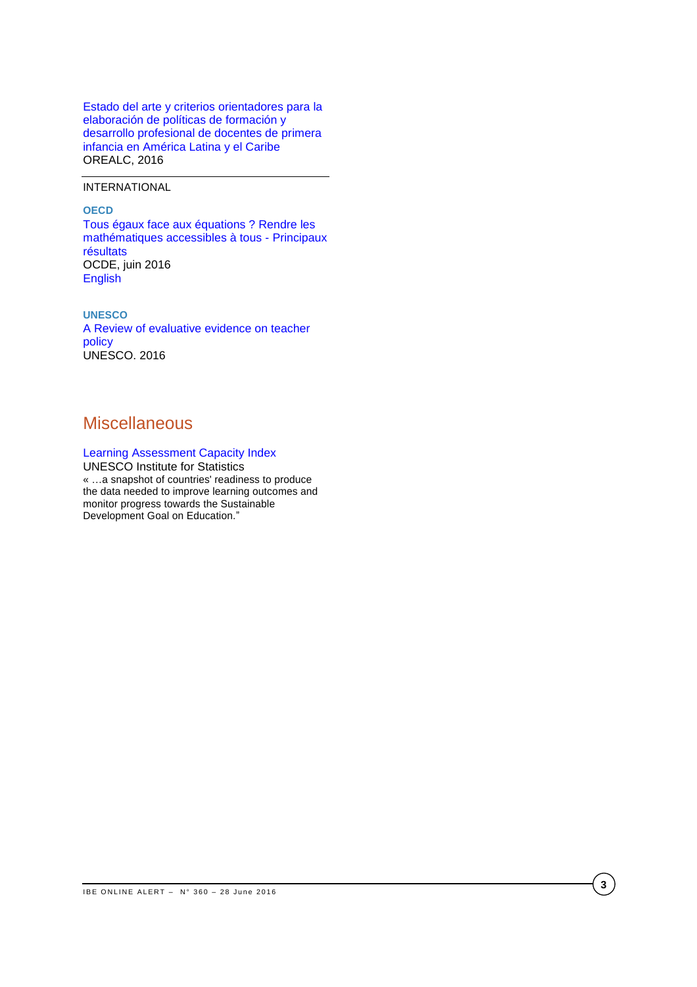[Estado del arte y criterios orientadores para la](http://unesdoc.unesco.org/images/0024/002451/245157s.pdf)  [elaboración de políticas de formación y](http://unesdoc.unesco.org/images/0024/002451/245157s.pdf)  [desarrollo profesional de docentes de primera](http://unesdoc.unesco.org/images/0024/002451/245157s.pdf)  [infancia en América Latina y el Caribe](http://unesdoc.unesco.org/images/0024/002451/245157s.pdf) OREALC, 2016

INTERNATIONAL

**OECD**

[Tous égaux face aux équations ? Rendre les](http://www.oecd-ilibrary.org/content/book/9789264259294-fr?site=fr)  [mathématiques accessibles à tous -](http://www.oecd-ilibrary.org/content/book/9789264259294-fr?site=fr) Principaux [résultats](http://www.oecd-ilibrary.org/content/book/9789264259294-fr?site=fr) OCDE, juin 2016 [English](http://www.oecd-ilibrary.org/fr/education/pisa_19963777;jsessionid=ma90o5kd0w8c.x-oecd-live-02)

**UNESCO** [A Review of evaluative evidence on teacher](http://unesdoc.unesco.org/images/0024/002443/244373e.pdf)  [policy](http://unesdoc.unesco.org/images/0024/002443/244373e.pdf) UNESCO. 2016

## **Miscellaneous**

### [Learning Assessment Capacity Index](http://www.uis.unesco.org/_LAYOUTS/UNESCO/laci/) UNESCO Institute for Statistics

« …a snapshot of countries' readiness to produce the data needed to improve learning outcomes and monitor progress towards the Sustainable Development Goal on Education."